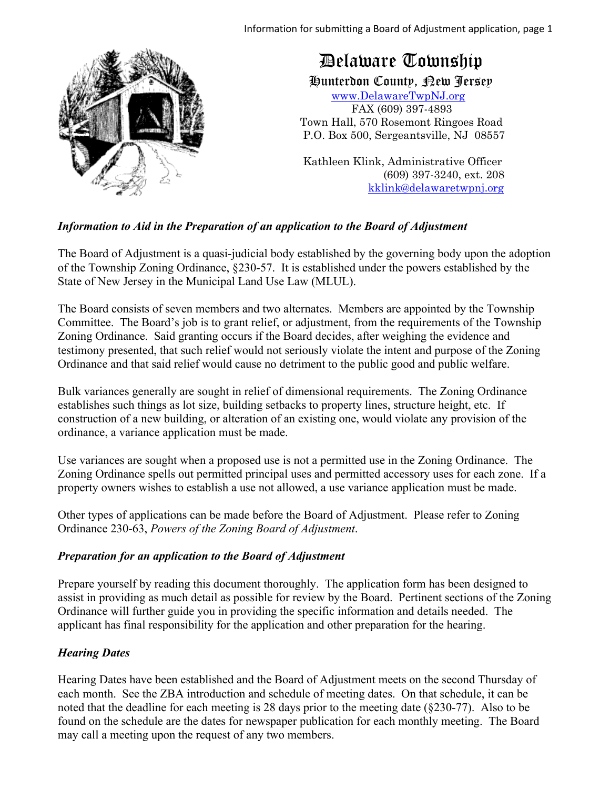

# Delaware Township

Hunterdon County, New Jersey

 www.DelawareTwpNJ.org FAX (609) 397-4893 Town Hall, 570 Rosemont Ringoes Road P.O. Box 500, Sergeantsville, NJ 08557

 Kathleen Klink, Administrative Officer (609) 397-3240, ext. 208 kklink@delawaretwpnj.org

# *Information to Aid in the Preparation of an application to the Board of Adjustment*

The Board of Adjustment is a quasi-judicial body established by the governing body upon the adoption of the Township Zoning Ordinance, §230-57. It is established under the powers established by the State of New Jersey in the Municipal Land Use Law (MLUL).

The Board consists of seven members and two alternates. Members are appointed by the Township Committee. The Board's job is to grant relief, or adjustment, from the requirements of the Township Zoning Ordinance. Said granting occurs if the Board decides, after weighing the evidence and testimony presented, that such relief would not seriously violate the intent and purpose of the Zoning Ordinance and that said relief would cause no detriment to the public good and public welfare.

Bulk variances generally are sought in relief of dimensional requirements. The Zoning Ordinance establishes such things as lot size, building setbacks to property lines, structure height, etc. If construction of a new building, or alteration of an existing one, would violate any provision of the ordinance, a variance application must be made.

Use variances are sought when a proposed use is not a permitted use in the Zoning Ordinance. The Zoning Ordinance spells out permitted principal uses and permitted accessory uses for each zone. If a property owners wishes to establish a use not allowed, a use variance application must be made.

Other types of applications can be made before the Board of Adjustment. Please refer to Zoning Ordinance 230-63, *Powers of the Zoning Board of Adjustment*.

# *Preparation for an application to the Board of Adjustment*

Prepare yourself by reading this document thoroughly. The application form has been designed to assist in providing as much detail as possible for review by the Board. Pertinent sections of the Zoning Ordinance will further guide you in providing the specific information and details needed. The applicant has final responsibility for the application and other preparation for the hearing.

# *Hearing Dates*

Hearing Dates have been established and the Board of Adjustment meets on the second Thursday of each month. See the ZBA introduction and schedule of meeting dates. On that schedule, it can be noted that the deadline for each meeting is 28 days prior to the meeting date (§230-77). Also to be found on the schedule are the dates for newspaper publication for each monthly meeting. The Board may call a meeting upon the request of any two members.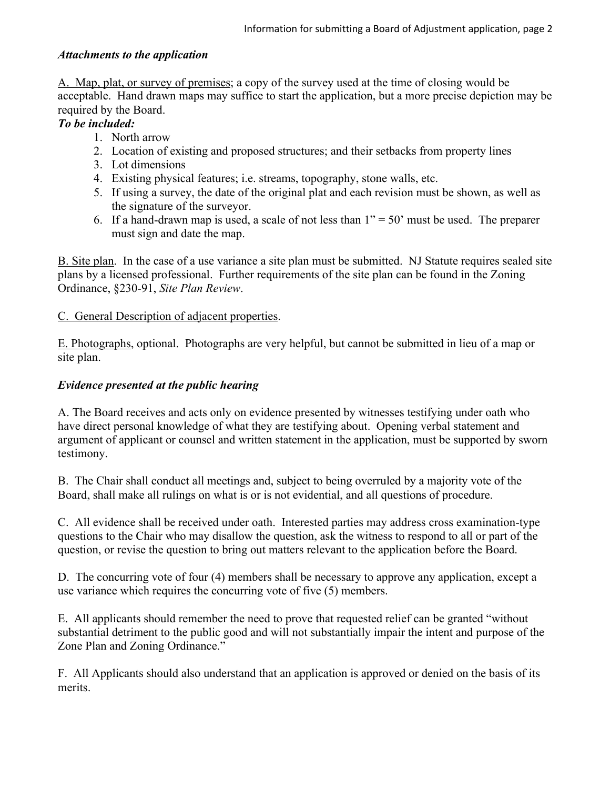#### *Attachments to the application*

A. Map, plat, or survey of premises; a copy of the survey used at the time of closing would be acceptable. Hand drawn maps may suffice to start the application, but a more precise depiction may be required by the Board.

#### *To be included:*

- 1. North arrow
- 2. Location of existing and proposed structures; and their setbacks from property lines
- 3. Lot dimensions
- 4. Existing physical features; i.e. streams, topography, stone walls, etc.
- 5. If using a survey, the date of the original plat and each revision must be shown, as well as the signature of the surveyor.
- 6. If a hand-drawn map is used, a scale of not less than  $1" = 50"$  must be used. The preparer must sign and date the map.

B. Site plan. In the case of a use variance a site plan must be submitted. NJ Statute requires sealed site plans by a licensed professional. Further requirements of the site plan can be found in the Zoning Ordinance, §230-91, *Site Plan Review*.

#### C. General Description of adjacent properties.

E. Photographs, optional. Photographs are very helpful, but cannot be submitted in lieu of a map or site plan.

#### *Evidence presented at the public hearing*

A. The Board receives and acts only on evidence presented by witnesses testifying under oath who have direct personal knowledge of what they are testifying about. Opening verbal statement and argument of applicant or counsel and written statement in the application, must be supported by sworn testimony.

B. The Chair shall conduct all meetings and, subject to being overruled by a majority vote of the Board, shall make all rulings on what is or is not evidential, and all questions of procedure.

C. All evidence shall be received under oath. Interested parties may address cross examination-type questions to the Chair who may disallow the question, ask the witness to respond to all or part of the question, or revise the question to bring out matters relevant to the application before the Board.

D. The concurring vote of four (4) members shall be necessary to approve any application, except a use variance which requires the concurring vote of five (5) members.

E. All applicants should remember the need to prove that requested relief can be granted "without substantial detriment to the public good and will not substantially impair the intent and purpose of the Zone Plan and Zoning Ordinance."

F. All Applicants should also understand that an application is approved or denied on the basis of its merits.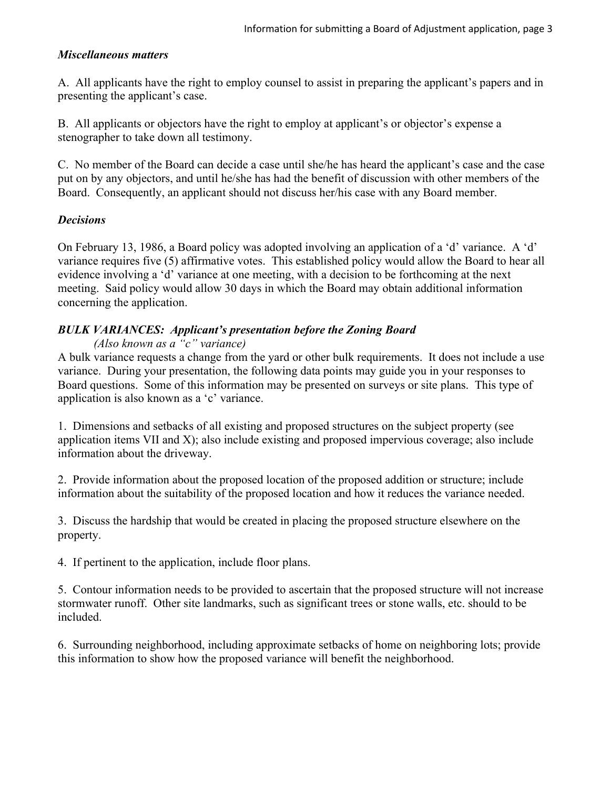#### *Miscellaneous matters*

A. All applicants have the right to employ counsel to assist in preparing the applicant's papers and in presenting the applicant's case.

B. All applicants or objectors have the right to employ at applicant's or objector's expense a stenographer to take down all testimony.

C. No member of the Board can decide a case until she/he has heard the applicant's case and the case put on by any objectors, and until he/she has had the benefit of discussion with other members of the Board. Consequently, an applicant should not discuss her/his case with any Board member.

# *Decisions*

On February 13, 1986, a Board policy was adopted involving an application of a 'd' variance. A 'd' variance requires five (5) affirmative votes. This established policy would allow the Board to hear all evidence involving a 'd' variance at one meeting, with a decision to be forthcoming at the next meeting. Said policy would allow 30 days in which the Board may obtain additional information concerning the application.

# *BULK VARIANCES: Applicant's presentation before the Zoning Board*

*(Also known as a "c" variance)*

A bulk variance requests a change from the yard or other bulk requirements. It does not include a use variance. During your presentation, the following data points may guide you in your responses to Board questions. Some of this information may be presented on surveys or site plans. This type of application is also known as a 'c' variance.

1. Dimensions and setbacks of all existing and proposed structures on the subject property (see application items VII and X); also include existing and proposed impervious coverage; also include information about the driveway.

2. Provide information about the proposed location of the proposed addition or structure; include information about the suitability of the proposed location and how it reduces the variance needed.

3. Discuss the hardship that would be created in placing the proposed structure elsewhere on the property.

4. If pertinent to the application, include floor plans.

5. Contour information needs to be provided to ascertain that the proposed structure will not increase stormwater runoff. Other site landmarks, such as significant trees or stone walls, etc. should to be included.

6. Surrounding neighborhood, including approximate setbacks of home on neighboring lots; provide this information to show how the proposed variance will benefit the neighborhood.